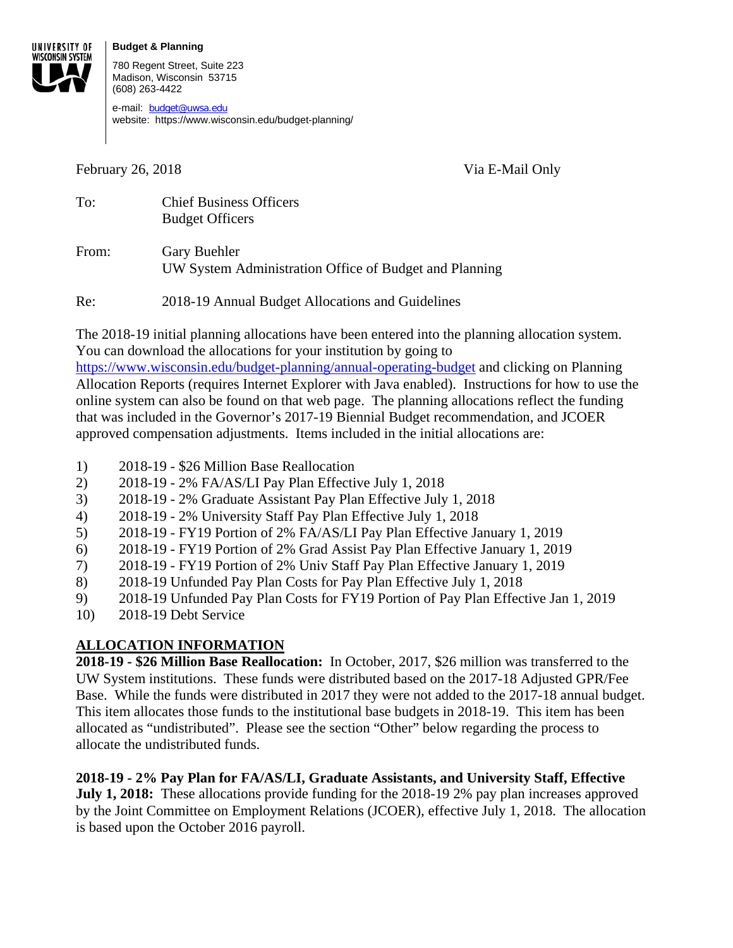#### **Budget & Planning**



780 Regent Street, Suite 223 Madison, Wisconsin 53715 (608) 263-4422

e-mail: budget@uwsa.edu website: https://www.wisconsin.edu/budget-planning/

February 26, 2018 **Via E-Mail Only** 

| To:   | <b>Chief Business Officers</b><br><b>Budget Officers</b>                      |
|-------|-------------------------------------------------------------------------------|
| From: | <b>Gary Buehler</b><br>UW System Administration Office of Budget and Planning |

Re: 2018-19 Annual Budget Allocations and Guidelines

The 2018-19 initial planning allocations have been entered into the planning allocation system. You can download the allocations for your institution by going to

https://www.wisconsin.edu/budget-planning/annual-operating-budget and clicking on Planning Allocation Reports (requires Internet Explorer with Java enabled). Instructions for how to use the online system can also be found on that web page. The planning allocations reflect the funding that was included in the Governor's 2017-19 Biennial Budget recommendation, and JCOER approved compensation adjustments. Items included in the initial allocations are:

- 1) 2018-19 \$26 Million Base Reallocation
- 2) 2018-19 2% FA/AS/LI Pay Plan Effective July 1, 2018
- 3) 2018-19 2% Graduate Assistant Pay Plan Effective July 1, 2018
- 4) 2018-19 2% University Staff Pay Plan Effective July 1, 2018
- 5) 2018-19 FY19 Portion of 2% FA/AS/LI Pay Plan Effective January 1, 2019
- 6) 2018-19 FY19 Portion of 2% Grad Assist Pay Plan Effective January 1, 2019
- 7) 2018-19 FY19 Portion of 2% Univ Staff Pay Plan Effective January 1, 2019
- 8) 2018-19 Unfunded Pay Plan Costs for Pay Plan Effective July 1, 2018
- 9) 2018-19 Unfunded Pay Plan Costs for FY19 Portion of Pay Plan Effective Jan 1, 2019
- 10) 2018-19 Debt Service

# **ALLOCATION INFORMATION**

**2018-19 - \$26 Million Base Reallocation:** In October, 2017, \$26 million was transferred to the UW System institutions. These funds were distributed based on the 2017-18 Adjusted GPR/Fee Base. While the funds were distributed in 2017 they were not added to the 2017-18 annual budget. This item allocates those funds to the institutional base budgets in 2018-19. This item has been allocated as "undistributed". Please see the section "Other" below regarding the process to allocate the undistributed funds.

# **2018-19 - 2% Pay Plan for FA/AS/LI, Graduate Assistants, and University Staff, Effective**

**July 1, 2018:** These allocations provide funding for the 2018-19 2% pay plan increases approved by the Joint Committee on Employment Relations (JCOER), effective July 1, 2018. The allocation is based upon the October 2016 payroll.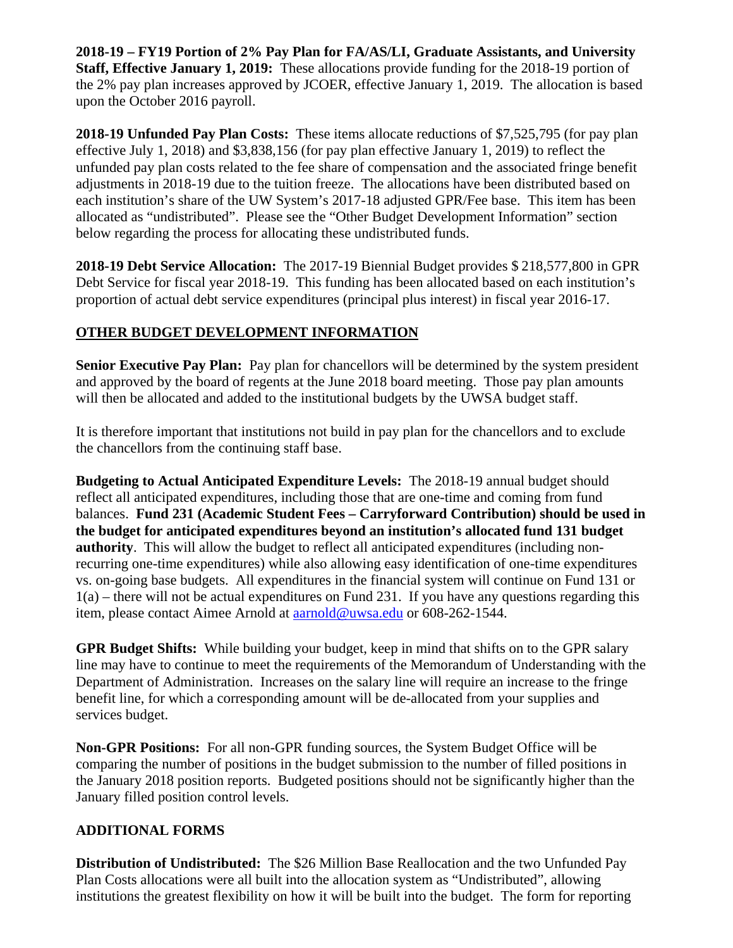**2018-19 – FY19 Portion of 2% Pay Plan for FA/AS/LI, Graduate Assistants, and University Staff, Effective January 1, 2019:** These allocations provide funding for the 2018-19 portion of the 2% pay plan increases approved by JCOER, effective January 1, 2019. The allocation is based upon the October 2016 payroll.

**2018-19 Unfunded Pay Plan Costs:** These items allocate reductions of \$7,525,795 (for pay plan effective July 1, 2018) and \$3,838,156 (for pay plan effective January 1, 2019) to reflect the unfunded pay plan costs related to the fee share of compensation and the associated fringe benefit adjustments in 2018-19 due to the tuition freeze. The allocations have been distributed based on each institution's share of the UW System's 2017-18 adjusted GPR/Fee base. This item has been allocated as "undistributed". Please see the "Other Budget Development Information" section below regarding the process for allocating these undistributed funds.

**2018-19 Debt Service Allocation:** The 2017-19 Biennial Budget provides \$ 218,577,800 in GPR Debt Service for fiscal year 2018-19. This funding has been allocated based on each institution's proportion of actual debt service expenditures (principal plus interest) in fiscal year 2016-17.

#### **OTHER BUDGET DEVELOPMENT INFORMATION**

**Senior Executive Pay Plan:** Pay plan for chancellors will be determined by the system president and approved by the board of regents at the June 2018 board meeting. Those pay plan amounts will then be allocated and added to the institutional budgets by the UWSA budget staff.

It is therefore important that institutions not build in pay plan for the chancellors and to exclude the chancellors from the continuing staff base.

**Budgeting to Actual Anticipated Expenditure Levels:** The 2018-19 annual budget should reflect all anticipated expenditures, including those that are one-time and coming from fund balances. **Fund 231 (Academic Student Fees – Carryforward Contribution) should be used in the budget for anticipated expenditures beyond an institution's allocated fund 131 budget authority**. This will allow the budget to reflect all anticipated expenditures (including nonrecurring one-time expenditures) while also allowing easy identification of one-time expenditures vs. on-going base budgets. All expenditures in the financial system will continue on Fund 131 or  $1(a)$  – there will not be actual expenditures on Fund 231. If you have any questions regarding this item, please contact Aimee Arnold at aarnold@uwsa.edu or 608-262-1544.

**GPR Budget Shifts:** While building your budget, keep in mind that shifts on to the GPR salary line may have to continue to meet the requirements of the Memorandum of Understanding with the Department of Administration. Increases on the salary line will require an increase to the fringe benefit line, for which a corresponding amount will be de-allocated from your supplies and services budget.

**Non-GPR Positions:** For all non-GPR funding sources, the System Budget Office will be comparing the number of positions in the budget submission to the number of filled positions in the January 2018 position reports. Budgeted positions should not be significantly higher than the January filled position control levels.

### **ADDITIONAL FORMS**

**Distribution of Undistributed:** The \$26 Million Base Reallocation and the two Unfunded Pay Plan Costs allocations were all built into the allocation system as "Undistributed", allowing institutions the greatest flexibility on how it will be built into the budget. The form for reporting